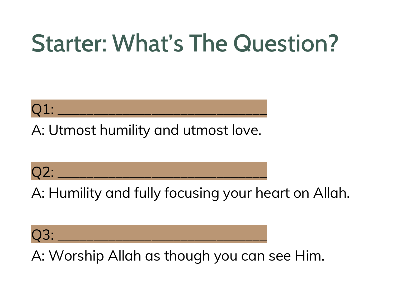## Starter: What's The Question?



A: Utmost humility and utmost love.



A: Humility and fully focusing your heart on Allah.

Q3: \_\_\_\_\_\_\_\_\_\_\_\_\_\_\_\_\_\_\_\_\_\_\_\_\_\_\_\_\_

A: Worship Allah as though you can see Him.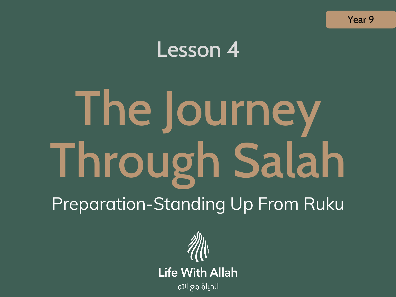

### Lesson 4

# The Journey Through Salah Preparation-Standing Up From Ruku

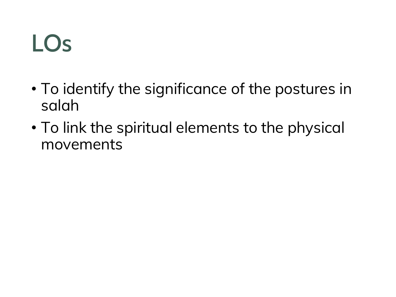### LOs

- To identify the significance of the postures in salah
- To link the spiritual elements to the physical movements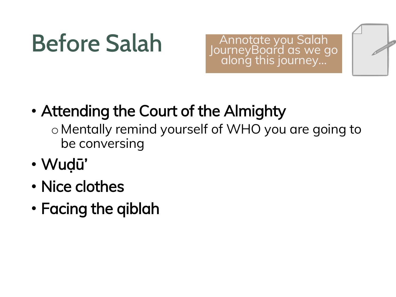# Before Salah

Annotate you Salah JourneyBoard as we go along this journey…



- Attending the Court of the Almighty
	- o Mentally remind yourself of WHO you are going to be conversing
- Wuḍū'
- Nice clothes
- Facing the qiblah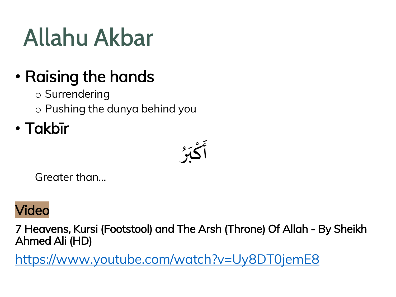# Allahu Akbar

### • Raising the hands

- o Surrendering
- o Pushing the dunya behind you
- Takbīr

 $\frac{1}{2}$ أَكْبَرُ  $\frac{1}{2}$ )<br>م ْ  $\sum_{i=1}^{n}$ 

Greater than…

#### Video

7 Heavens, Kursi (Footstool) and The Arsh (Throne) Of Allah - By Sheikh Ahmed Ali (HD)

<https://www.youtube.com/watch?v=Uy8DT0jemE8>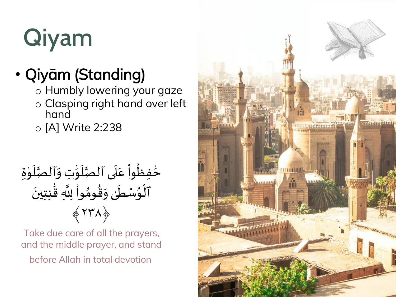

### • Qiyām (Standing)

- o Humbly lowering your gaze
- o Clasping right hand over left hand
- o [A] Write 2:238

 $\ddot{\phantom{0}}$ حُفِظُواْ عَلَى ٱلصَّلَوَٰتِ وَٱلصَّلَوٰةِ ن<br>ر<br>ر  $\frac{1}{2}$ ِ<br>م ֦֧֦֧֦֧֦֧֦֧֦֧֘֝֜֜֜֜֓֜֜֜֜֜֜֜<br>֧ׅׅׅ֜֜֜֜֝֬֝֜֜֜֝֬֝  $\ddot{\dot{\mathbf{r}}}$ ِّ ِ ن<br>م<br>م  $\frac{1}{2}$ ِ<br>ِ َٰ  $\ddot{\phantom{0}}$  $\mathbf{1}$ —<br>تار<br>1 َ<br>ٱلْوُسْطَىٰ وَقُومُواْ لِلَّهِ قَٰنِتِينَ ۟  $\frac{1}{2}$ י<br>א  $\frac{1}{2}$ َٰ ِ<br>م  $\frac{1}{2}$ ⊾<br>∲ ।<br>:<br>: —<br>∙<br>◆ ﴾٢٣٨﴿

Take due care of all the prayers, and the middle prayer, and stand before Allah in total devotion

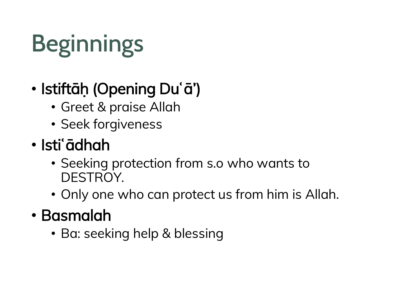# **Beginnings**

### • Istiftāḥ (Opening Duʿā')

- Greet & praise Allah
- Seek forgiveness
- Istiʿādhah
	- Seeking protection from s.o who wants to DESTROY.
	- Only one who can protect us from him is Allah.
- Basmalah
	- Ba: seeking help & blessing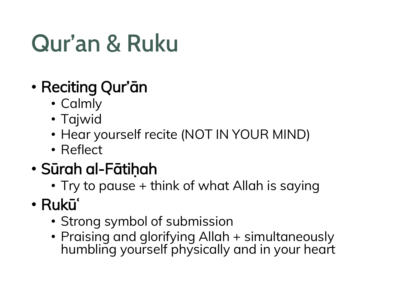### Qur'an & Ruku

- Reciting Qur'ān
	- Calmly
	- Tajwid
	- Hear yourself recite (NOT IN YOUR MIND)
	- Reflect
- Sūrah al-Fātiḥah
	- Try to pause + think of what Allah is saying
- Rukūʿ
	- Strong symbol of submission
	- Praising and glorifying Allah + simultaneously humbling yourself physically and in your heart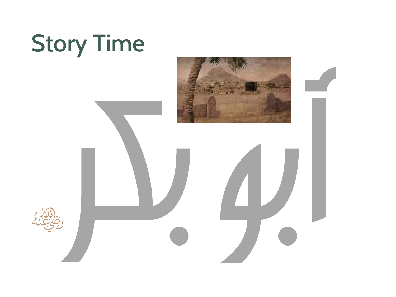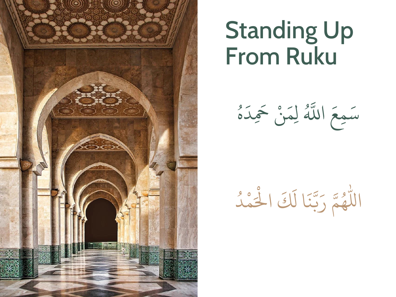

### Standing Up From Ruku

 $\frac{9}{2}$ و<br>0  $\frac{1}{1}$ د ِ  $\overline{\phantom{a}}$ َح ن ْ  $\frac{1}{2}$ ا<br>الم  $\int$ و<br>هُ اَّلل  $\overline{\phantom{a}}$ مع ِ  $\overline{a}$ س

**اللہ جاتا** م ِ<br>ا ُ<br>المراجع لَكَ الْحُ ا ل  $\ddot{\phantom{0}}$ ن لما<br>م بتا<br>ب  $\overline{\phantom{a}}$ اللَّهُمَّ رَبَّنَا لَكَ الْحَمْدُ ُ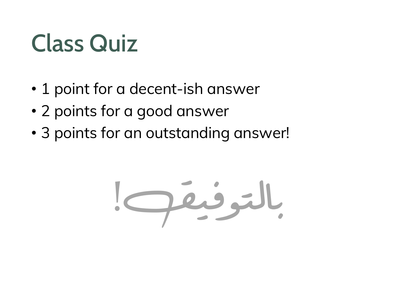# Class Quiz

- 1 point for a decent-ish answer
- 2 points for a good answer
- 3 points for an outstanding answer!

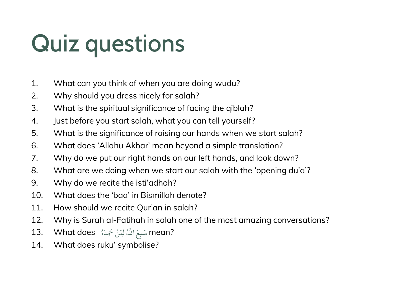# Quiz questions

- 1. What can you think of when you are doing wudu?
- 2. Why should you dress nicely for salah?
- 3. What is the spiritual significance of facing the qiblah?
- 4. Just before you start salah, what you can tell yourself?
- 5. What is the significance of raising our hands when we start salah?
- 6. What does 'Allahu Akbar' mean beyond a simple translation?
- 7. Why do we put our right hands on our left hands, and look down?
- 8. What are we doing when we start our salah with the 'opening du'a'?
- 9. Why do we recite the isti'adhah?
- 10. What does the 'baa' in Bismillah denote?
- 11. How should we recite Qur'an in salah?
- 12. Why is Surah al-Fatihah in salah one of the most amazing conversations?
- 13. What does ُ ه َ ِد َحَ ن َ لِم اَّللهُ َ ِمع َ ?mean س ْ
- 14. What does ruku' symbolise?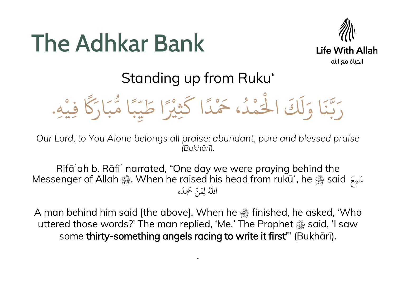### The Adhkar Bank



#### Standing up from Ruku'

ف ِ **MARK** ًك ِ<br>ِ ار  $\overline{\phantom{a}}$ ب ول<br>م ا م  $\frac{1}{2}$ بر<br>بر  $\omega$  $\frac{1}{2}$ يد  $\overline{\phantom{a}}$ ا ط ً<br>ئا ِ<br>ثِيْ<br>ِ َ ا ك  $\frac{1}{2}$ ار  $\sum^{\circ}$ ، َح د م و<br>ا **المسلمات** ِ<br>ا ْ اْل كَ َ ل  $\frac{1}{2}$ ا و  $\ddot{\phantom{0}}$ ن ه بتا<br>ب  $\overline{a}$ رَبَّنَا وَلَكَ الْحَمْدُ، خَمْدًا كَثِيْرًا طَيِّبًا مَثَبًا مَّبَارَكًا فِيْهِ. **ا** 

*Our Lord, to You Alone belongs all praise; abundant, pure and blessed praise (Bukhārī).*

Rifāʿah b. Rāfiʿ narrated, "One day we were praying behind the مَعَ Messenger of Allah ﷺ. When he raised his head from rukūʿ, he ﷺ said ِ<br>بر سک ه ِ<br>ا ۔۔۔۔۔<br>نْ خَمِدَ ْ ِ<br>به لِم ِ<br>هُ اللَّهُ

A man behind him said [the above]. When he  $\triangleq$  finished, he asked, 'Who uttered those words?' The man replied, 'Me.' The Prophet  $\frac{36}{288}$  said, 'I saw some thirty-something angels racing to write it first'" (Bukhārī).

.